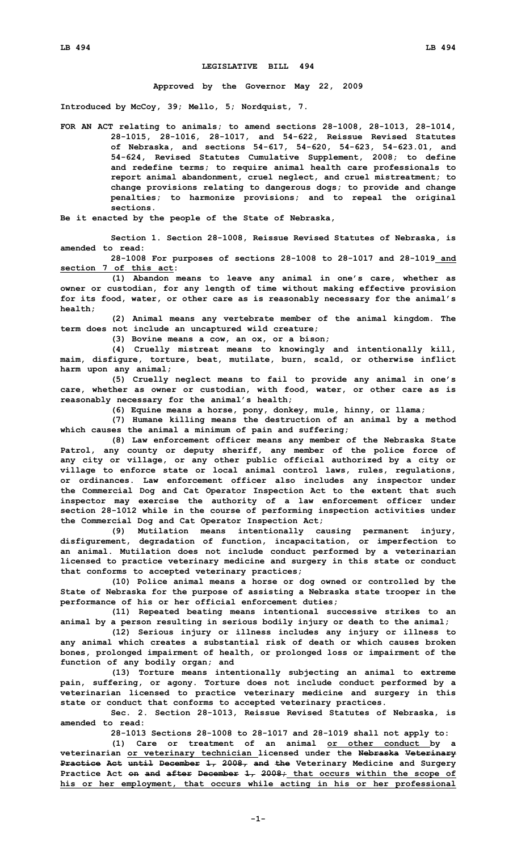## **LEGISLATIVE BILL 494**

## **Approved by the Governor May 22, 2009**

**Introduced by McCoy, 39; Mello, 5; Nordquist, 7.**

**FOR AN ACT relating to animals; to amend sections 28-1008, 28-1013, 28-1014, 28-1015, 28-1016, 28-1017, and 54-622, Reissue Revised Statutes of Nebraska, and sections 54-617, 54-620, 54-623, 54-623.01, and 54-624, Revised Statutes Cumulative Supplement, 2008; to define and redefine terms; to require animal health care professionals to report animal abandonment, cruel neglect, and cruel mistreatment; to change provisions relating to dangerous dogs; to provide and change penalties; to harmonize provisions; and to repeal the original sections.**

**Be it enacted by the people of the State of Nebraska,**

**Section 1. Section 28-1008, Reissue Revised Statutes of Nebraska, is amended to read:**

**28-1008 For purposes of sections 28-1008 to 28-1017 and 28-1019 and section 7 of this act:**

**(1) Abandon means to leave any animal in one's care, whether as owner or custodian, for any length of time without making effective provision for its food, water, or other care as is reasonably necessary for the animal's health;**

**(2) Animal means any vertebrate member of the animal kingdom. The term does not include an uncaptured wild creature;**

**(3) Bovine means <sup>a</sup> cow, an ox, or <sup>a</sup> bison;**

**(4) Cruelly mistreat means to knowingly and intentionally kill, maim, disfigure, torture, beat, mutilate, burn, scald, or otherwise inflict harm upon any animal;**

**(5) Cruelly neglect means to fail to provide any animal in one's care, whether as owner or custodian, with food, water, or other care as is reasonably necessary for the animal's health;**

**(6) Equine means <sup>a</sup> horse, pony, donkey, mule, hinny, or llama;**

**(7) Humane killing means the destruction of an animal by <sup>a</sup> method which causes the animal <sup>a</sup> minimum of pain and suffering;**

**(8) Law enforcement officer means any member of the Nebraska State Patrol, any county or deputy sheriff, any member of the police force of any city or village, or any other public official authorized by <sup>a</sup> city or village to enforce state or local animal control laws, rules, regulations, or ordinances. Law enforcement officer also includes any inspector under the Commercial Dog and Cat Operator Inspection Act to the extent that such inspector may exercise the authority of <sup>a</sup> law enforcement officer under section 28-1012 while in the course of performing inspection activities under the Commercial Dog and Cat Operator Inspection Act;**

**(9) Mutilation means intentionally causing permanent injury, disfigurement, degradation of function, incapacitation, or imperfection to an animal. Mutilation does not include conduct performed by <sup>a</sup> veterinarian licensed to practice veterinary medicine and surgery in this state or conduct that conforms to accepted veterinary practices;**

**(10) Police animal means <sup>a</sup> horse or dog owned or controlled by the State of Nebraska for the purpose of assisting <sup>a</sup> Nebraska state trooper in the performance of his or her official enforcement duties;**

**(11) Repeated beating means intentional successive strikes to an animal by <sup>a</sup> person resulting in serious bodily injury or death to the animal;**

**(12) Serious injury or illness includes any injury or illness to any animal which creates <sup>a</sup> substantial risk of death or which causes broken bones, prolonged impairment of health, or prolonged loss or impairment of the function of any bodily organ; and**

**(13) Torture means intentionally subjecting an animal to extreme pain, suffering, or agony. Torture does not include conduct performed by <sup>a</sup> veterinarian licensed to practice veterinary medicine and surgery in this state or conduct that conforms to accepted veterinary practices.**

**Sec. 2. Section 28-1013, Reissue Revised Statutes of Nebraska, is amended to read:**

**28-1013 Sections 28-1008 to 28-1017 and 28-1019 shall not apply to:**

**(1) Care or treatment of an animal or other conduct by <sup>a</sup> veterinarian or veterinary technician licensed under the Nebraska Veterinary Practice Act until December 1, 2008, and the Veterinary Medicine and Surgery Practice Act on and after December 1, 2008; that occurs within the scope of his or her employment, that occurs while acting in his or her professional**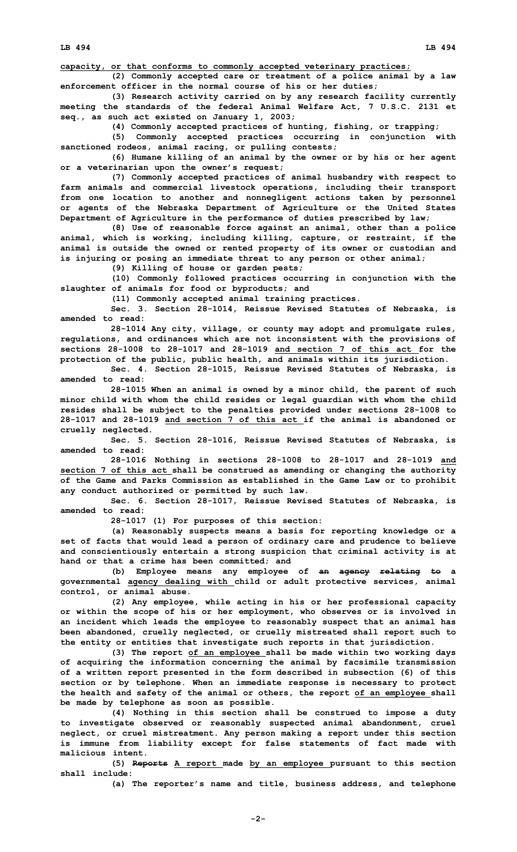**LB 494 LB 494**

**capacity, or that conforms to commonly accepted veterinary practices;**

**(2) Commonly accepted care or treatment of <sup>a</sup> police animal by <sup>a</sup> law enforcement officer in the normal course of his or her duties;**

**(3) Research activity carried on by any research facility currently meeting the standards of the federal Animal Welfare Act, 7 U.S.C. 2131 et seq., as such act existed on January 1, 2003;**

**(4) Commonly accepted practices of hunting, fishing, or trapping;**

**(5) Commonly accepted practices occurring in conjunction with sanctioned rodeos, animal racing, or pulling contests;**

**(6) Humane killing of an animal by the owner or by his or her agent or <sup>a</sup> veterinarian upon the owner's request;**

**(7) Commonly accepted practices of animal husbandry with respect to farm animals and commercial livestock operations, including their transport from one location to another and nonnegligent actions taken by personnel or agents of the Nebraska Department of Agriculture or the United States Department of Agriculture in the performance of duties prescribed by law;**

**(8) Use of reasonable force against an animal, other than <sup>a</sup> police animal, which is working, including killing, capture, or restraint, if the animal is outside the owned or rented property of its owner or custodian and is injuring or posing an immediate threat to any person or other animal;**

**(9) Killing of house or garden pests;**

**(10) Commonly followed practices occurring in conjunction with the slaughter of animals for food or byproducts; and**

**(11) Commonly accepted animal training practices.**

**Sec. 3. Section 28-1014, Reissue Revised Statutes of Nebraska, is amended to read:**

**28-1014 Any city, village, or county may adopt and promulgate rules, regulations, and ordinances which are not inconsistent with the provisions of sections 28-1008 to 28-1017 and 28-1019 and section 7 of this act for the protection of the public, public health, and animals within its jurisdiction.**

**Sec. 4. Section 28-1015, Reissue Revised Statutes of Nebraska, is amended to read:**

**28-1015 When an animal is owned by <sup>a</sup> minor child, the parent of such minor child with whom the child resides or legal guardian with whom the child resides shall be subject to the penalties provided under sections 28-1008 to 28-1017 and 28-1019 and section 7 of this act if the animal is abandoned or cruelly neglected.**

**Sec. 5. Section 28-1016, Reissue Revised Statutes of Nebraska, is amended to read:**

**28-1016 Nothing in sections 28-1008 to 28-1017 and 28-1019 and section 7 of this act shall be construed as amending or changing the authority of the Game and Parks Commission as established in the Game Law or to prohibit any conduct authorized or permitted by such law.**

**Sec. 6. Section 28-1017, Reissue Revised Statutes of Nebraska, is amended to read:**

**28-1017 (1) For purposes of this section:**

**(a) Reasonably suspects means <sup>a</sup> basis for reporting knowledge or <sup>a</sup> set of facts that would lead <sup>a</sup> person of ordinary care and prudence to believe and conscientiously entertain <sup>a</sup> strong suspicion that criminal activity is at hand or that <sup>a</sup> crime has been committed; and**

**(b) Employee means any employee of an agency relating to <sup>a</sup> governmental agency dealing with child or adult protective services, animal control, or animal abuse.**

**(2) Any employee, while acting in his or her professional capacity or within the scope of his or her employment, who observes or is involved in an incident which leads the employee to reasonably suspect that an animal has been abandoned, cruelly neglected, or cruelly mistreated shall report such to the entity or entities that investigate such reports in that jurisdiction.**

**(3) The report of an employee shall be made within two working days of acquiring the information concerning the animal by facsimile transmission of <sup>a</sup> written report presented in the form described in subsection (6) of this section or by telephone. When an immediate response is necessary to protect the health and safety of the animal or others, the report of an employee shall be made by telephone as soon as possible.**

**(4) Nothing in this section shall be construed to impose <sup>a</sup> duty to investigate observed or reasonably suspected animal abandonment, cruel neglect, or cruel mistreatment. Any person making <sup>a</sup> report under this section is immune from liability except for false statements of fact made with malicious intent.**

**(5) Reports <sup>A</sup> report made by an employee pursuant to this section shall include:**

**(a) The reporter's name and title, business address, and telephone**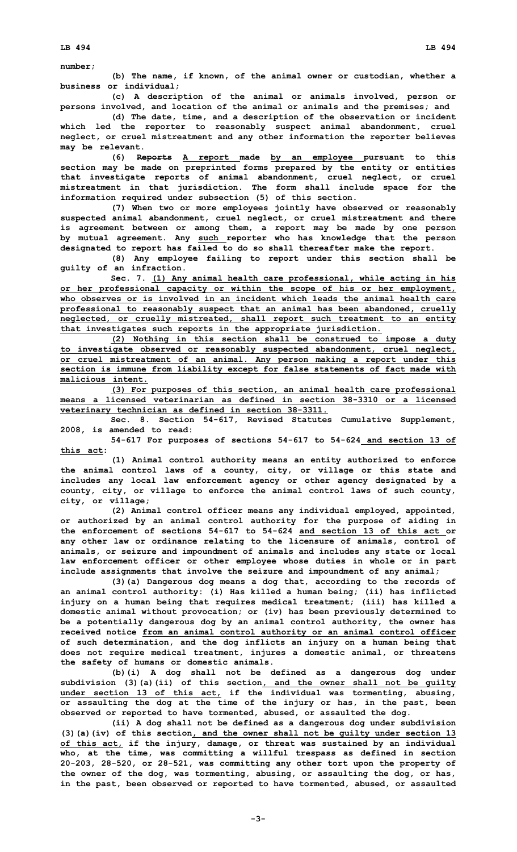**number;**

**(b) The name, if known, of the animal owner or custodian, whether <sup>a</sup> business or individual;**

**(c) <sup>A</sup> description of the animal or animals involved, person or persons involved, and location of the animal or animals and the premises; and**

**(d) The date, time, and <sup>a</sup> description of the observation or incident which led the reporter to reasonably suspect animal abandonment, cruel neglect, or cruel mistreatment and any other information the reporter believes may be relevant.**

**(6) Reports <sup>A</sup> report made by an employee pursuant to this section may be made on preprinted forms prepared by the entity or entities that investigate reports of animal abandonment, cruel neglect, or cruel mistreatment in that jurisdiction. The form shall include space for the information required under subsection (5) of this section.**

**(7) When two or more employees jointly have observed or reasonably suspected animal abandonment, cruel neglect, or cruel mistreatment and there is agreement between or among them, <sup>a</sup> report may be made by one person by mutual agreement. Any such reporter who has knowledge that the person designated to report has failed to do so shall thereafter make the report.**

**(8) Any employee failing to report under this section shall be guilty of an infraction.**

**Sec. 7. (1) Any animal health care professional, while acting in his or her professional capacity or within the scope of his or her employment, who observes or is involved in an incident which leads the animal health care professional to reasonably suspect that an animal has been abandoned, cruelly neglected, or cruelly mistreated, shall report such treatment to an entity that investigates such reports in the appropriate jurisdiction.**

**(2) Nothing in this section shall be construed to impose <sup>a</sup> duty to investigate observed or reasonably suspected abandonment, cruel neglect, or cruel mistreatment of an animal. Any person making <sup>a</sup> report under this section is immune from liability except for false statements of fact made with malicious intent.**

**(3) For purposes of this section, an animal health care professional means a licensed veterinarian as defined in section 38-3310 or a licensed veterinary technician as defined in section 38-3311.**

**Sec. 8. Section 54-617, Revised Statutes Cumulative Supplement, 2008, is amended to read:**

**54-617 For purposes of sections 54-617 to 54-624 and section 13 of this act:**

**(1) Animal control authority means an entity authorized to enforce the animal control laws of <sup>a</sup> county, city, or village or this state and includes any local law enforcement agency or other agency designated by <sup>a</sup> county, city, or village to enforce the animal control laws of such county, city, or village;**

**(2) Animal control officer means any individual employed, appointed, or authorized by an animal control authority for the purpose of aiding in the enforcement of sections 54-617 to 54-624 and section 13 of this act or any other law or ordinance relating to the licensure of animals, control of animals, or seizure and impoundment of animals and includes any state or local law enforcement officer or other employee whose duties in whole or in part include assignments that involve the seizure and impoundment of any animal;**

**(3)(a) Dangerous dog means <sup>a</sup> dog that, according to the records of an animal control authority: (i) Has killed <sup>a</sup> human being; (ii) has inflicted injury on <sup>a</sup> human being that requires medical treatment; (iii) has killed <sup>a</sup> domestic animal without provocation; or (iv) has been previously determined to be <sup>a</sup> potentially dangerous dog by an animal control authority, the owner has received notice from an animal control authority or an animal control officer of such determination, and the dog inflicts an injury on <sup>a</sup> human being that does not require medical treatment, injures <sup>a</sup> domestic animal, or threatens the safety of humans or domestic animals.**

**(b)(i) <sup>A</sup> dog shall not be defined as <sup>a</sup> dangerous dog under subdivision (3)(a)(ii) of this section, and the owner shall not be guilty under section 13 of this act, if the individual was tormenting, abusing, or assaulting the dog at the time of the injury or has, in the past, been observed or reported to have tormented, abused, or assaulted the dog.**

**(ii) <sup>A</sup> dog shall not be defined as <sup>a</sup> dangerous dog under subdivision (3)(a)(iv) of this section, and the owner shall not be guilty under section 13 of this act, if the injury, damage, or threat was sustained by an individual who, at the time, was committing <sup>a</sup> willful trespass as defined in section 20-203, 28-520, or 28-521, was committing any other tort upon the property of the owner of the dog, was tormenting, abusing, or assaulting the dog, or has, in the past, been observed or reported to have tormented, abused, or assaulted**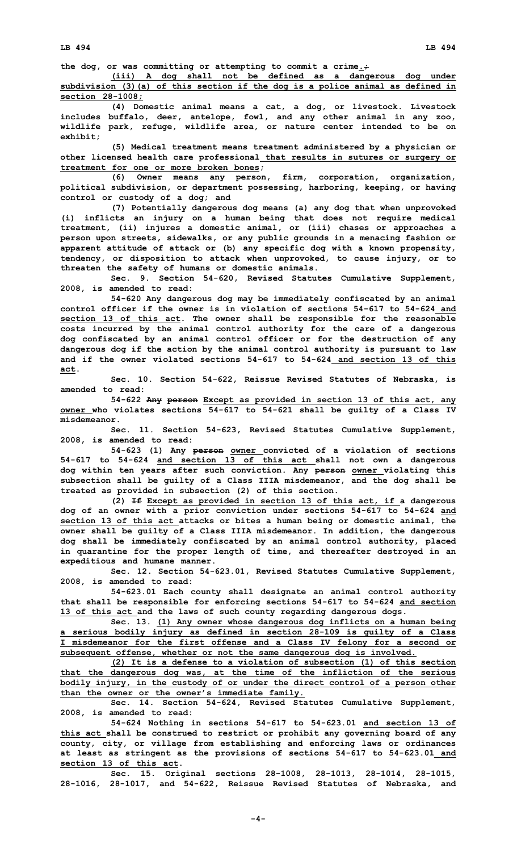**the dog, or was committing or attempting to commit <sup>a</sup> crime.;**

**(iii) <sup>A</sup> dog shall not be defined as <sup>a</sup> dangerous dog under subdivision (3)(a) of this section if the dog is <sup>a</sup> police animal as defined in section 28-1008;**

**(4) Domestic animal means <sup>a</sup> cat, <sup>a</sup> dog, or livestock. Livestock includes buffalo, deer, antelope, fowl, and any other animal in any zoo, wildlife park, refuge, wildlife area, or nature center intended to be on exhibit;**

**(5) Medical treatment means treatment administered by <sup>a</sup> physician or other licensed health care professional that results in sutures or surgery or treatment for one or more broken bones;**

**(6) Owner means any person, firm, corporation, organization, political subdivision, or department possessing, harboring, keeping, or having control or custody of <sup>a</sup> dog; and**

**(7) Potentially dangerous dog means (a) any dog that when unprovoked (i) inflicts an injury on <sup>a</sup> human being that does not require medical treatment, (ii) injures <sup>a</sup> domestic animal, or (iii) chases or approaches <sup>a</sup> person upon streets, sidewalks, or any public grounds in <sup>a</sup> menacing fashion or apparent attitude of attack or (b) any specific dog with <sup>a</sup> known propensity, tendency, or disposition to attack when unprovoked, to cause injury, or to threaten the safety of humans or domestic animals.**

**Sec. 9. Section 54-620, Revised Statutes Cumulative Supplement, 2008, is amended to read:**

**54-620 Any dangerous dog may be immediately confiscated by an animal control officer if the owner is in violation of sections 54-617 to 54-624 and section 13 of this act. The owner shall be responsible for the reasonable costs incurred by the animal control authority for the care of <sup>a</sup> dangerous dog confiscated by an animal control officer or for the destruction of any dangerous dog if the action by the animal control authority is pursuant to law and if the owner violated sections 54-617 to 54-624 and section 13 of this act.**

**Sec. 10. Section 54-622, Reissue Revised Statutes of Nebraska, is amended to read:**

**54-622 Any person Except as provided in section 13 of this act, any owner who violates sections 54-617 to 54-621 shall be guilty of <sup>a</sup> Class IV misdemeanor.**

**Sec. 11. Section 54-623, Revised Statutes Cumulative Supplement, 2008, is amended to read:**

**54-623 (1) Any person owner convicted of <sup>a</sup> violation of sections 54-617 to 54-624 and section 13 of this act shall not own <sup>a</sup> dangerous dog within ten years after such conviction. Any person owner violating this subsection shall be guilty of <sup>a</sup> Class IIIA misdemeanor, and the dog shall be treated as provided in subsection (2) of this section.**

**(2) If Except as provided in section 13 of this act, if <sup>a</sup> dangerous dog of an owner with <sup>a</sup> prior conviction under sections 54-617 to 54-624 and section 13 of this act attacks or bites <sup>a</sup> human being or domestic animal, the owner shall be guilty of <sup>a</sup> Class IIIA misdemeanor. In addition, the dangerous dog shall be immediately confiscated by an animal control authority, placed in quarantine for the proper length of time, and thereafter destroyed in an expeditious and humane manner.**

**Sec. 12. Section 54-623.01, Revised Statutes Cumulative Supplement, 2008, is amended to read:**

**54-623.01 Each county shall designate an animal control authority that shall be responsible for enforcing sections 54-617 to 54-624 and section 13 of this act and the laws of such county regarding dangerous dogs.**

**Sec. 13. (1) Any owner whose dangerous dog inflicts on <sup>a</sup> human being <sup>a</sup> serious bodily injury as defined in section 28-109 is guilty of <sup>a</sup> Class I misdemeanor for the first offense and <sup>a</sup> Class IV felony for <sup>a</sup> second or subsequent offense, whether or not the same dangerous dog is involved.**

**(2) It is <sup>a</sup> defense to <sup>a</sup> violation of subsection (1) of this section that the dangerous dog was, at the time of the infliction of the serious bodily injury, in the custody of or under the direct control of <sup>a</sup> person other than the owner or the owner's immediate family.**

**Sec. 14. Section 54-624, Revised Statutes Cumulative Supplement, 2008, is amended to read:**

**54-624 Nothing in sections 54-617 to 54-623.01 and section 13 of this act shall be construed to restrict or prohibit any governing board of any county, city, or village from establishing and enforcing laws or ordinances at least as stringent as the provisions of sections 54-617 to 54-623.01 and section 13 of this act.**

**Sec. 15. Original sections 28-1008, 28-1013, 28-1014, 28-1015, 28-1016, 28-1017, and 54-622, Reissue Revised Statutes of Nebraska, and**